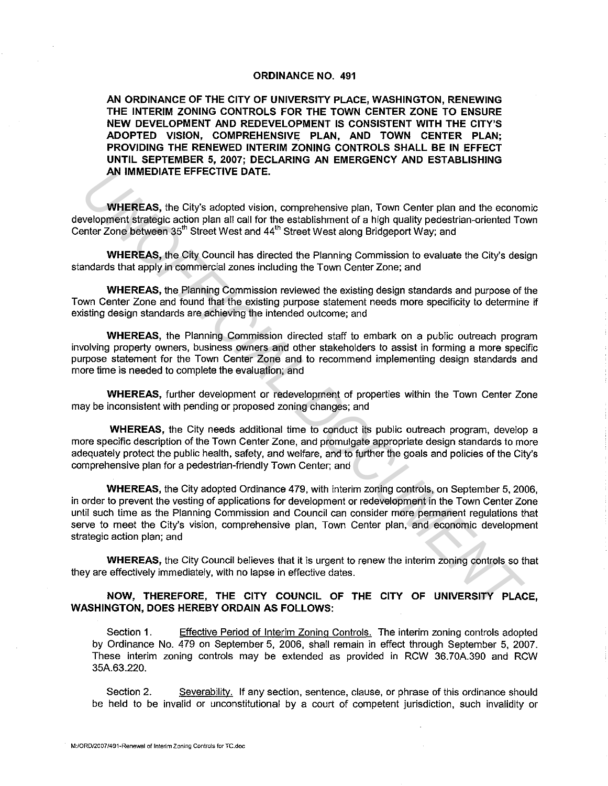## **ORDINANCE NO. 491**

**AN ORDINANCE OF THE CITY OF UNIVERSITY PLACE, WASHINGTON, RENEWING THE INTERIM ZONING CONTROLS FOR THE TOWN CENTER ZONE TO ENSURE NEW DEVELOPMENT AND REDEVELOPMENT IS CONSISTENT WITH THE CITY'S ADOPTED VISION, COMPREHENSIVE PLAN, AND TOWN CENTER PLAN; PROVIDING THE RENEWED INTERIM ZONING CONTROLS SHALL BE IN EFFECT UNTIL SEPTEMBER 5, 2007; DECLARING AN EMERGENCY AND ESTABLISHING AN IMMEDIATE EFFECTIVE DATE.** 

**WHEREAS,** the City's adopted vision, comprehensive plan, Town Center plan and the economic development strategic action plan all call for the establishment of a high quality pedestrian-oriented Town Center Zone between 35'" Street West and 44'" Street West along Bridgeport Way; and

**WHEREAS,** the City Council has directed the Planning Commission to evaluate the City's design standards that apply in commercial zones including the Town Center Zone; and

**WHEREAS,** the Planning Commission reviewed the existing design standards and purpose of the Town Center Zone and found that the existing purpose statement needs more specificity to determine if existing design standards are achieving the intended outcome; and

**WHEREAS,** the Planning Commission directed staff to embark on a public outreach program involving property owners, business owners and other stakeholders to assist in forming a more specific purpose statement for the Town Center Zone and to recommend implementing design standards and more time is needed to complete the evaluation; and

**WHEREAS,** further development or redevelopment of properties within the Town Center Zone may be inconsistent with pending or proposed zoning changes; and

**WHEREAS,** the City needs additional time to conduct its public outreach program, develop a more specific description of the Town Center Zone, and promulgate appropriate design standards to more adequately protect the public health, safety, and welfare, and to further the goals and policies of the City's comprehensive plan for a pedestrian-friendly Town Center; and

**WHEREAS,** the City adopted Ordinance 479, with interim zoning controls, on September 5, 2006, in order to prevent the vesting of applications for development or redevelopment in the Town Center Zone until such time as the Planning Commission and Council can consider more permanent regulations that serve to meet the City's vision, comprehensive plan, Town Center plan, and economic development strategic action plan; and **AN IMMEDIATE EFFECTIVE DATE.**<br> **WHEREAS**, the City's adopted vision, comprehensive plan, Town Center plan and the econometric strategic action plan all call for the establishment of a high quality podestrian-oriented To<br>

**WHEREAS,** the City Council believes that it is urgent to renew the interim zoning controls so that they are effectively immediately, with no lapse in effective dates.

## **NOW, THEREFORE, THE CITY COUNCIL OF THE CITY OF UNIVERSITY PLACE, WASHINGTON, DOES HEREBY ORDAIN AS FOLLOWS:**

Section 1. Effective Period of Interim Zoning Controls. The interim zoning controls adopted by Ordinance No. 479 on September 5, 2006, shall remain in effect through September 5, 2007. These interim zoning controls may be extended as provided in RCW 36.70A.390 and RCW 35A. 63 .220.

Section 2. Severability. If any section, sentence, clause, or phrase of this ordinance should be held to be invalid or unconstitutional by a court of competent jurisdiction, such invalidity or